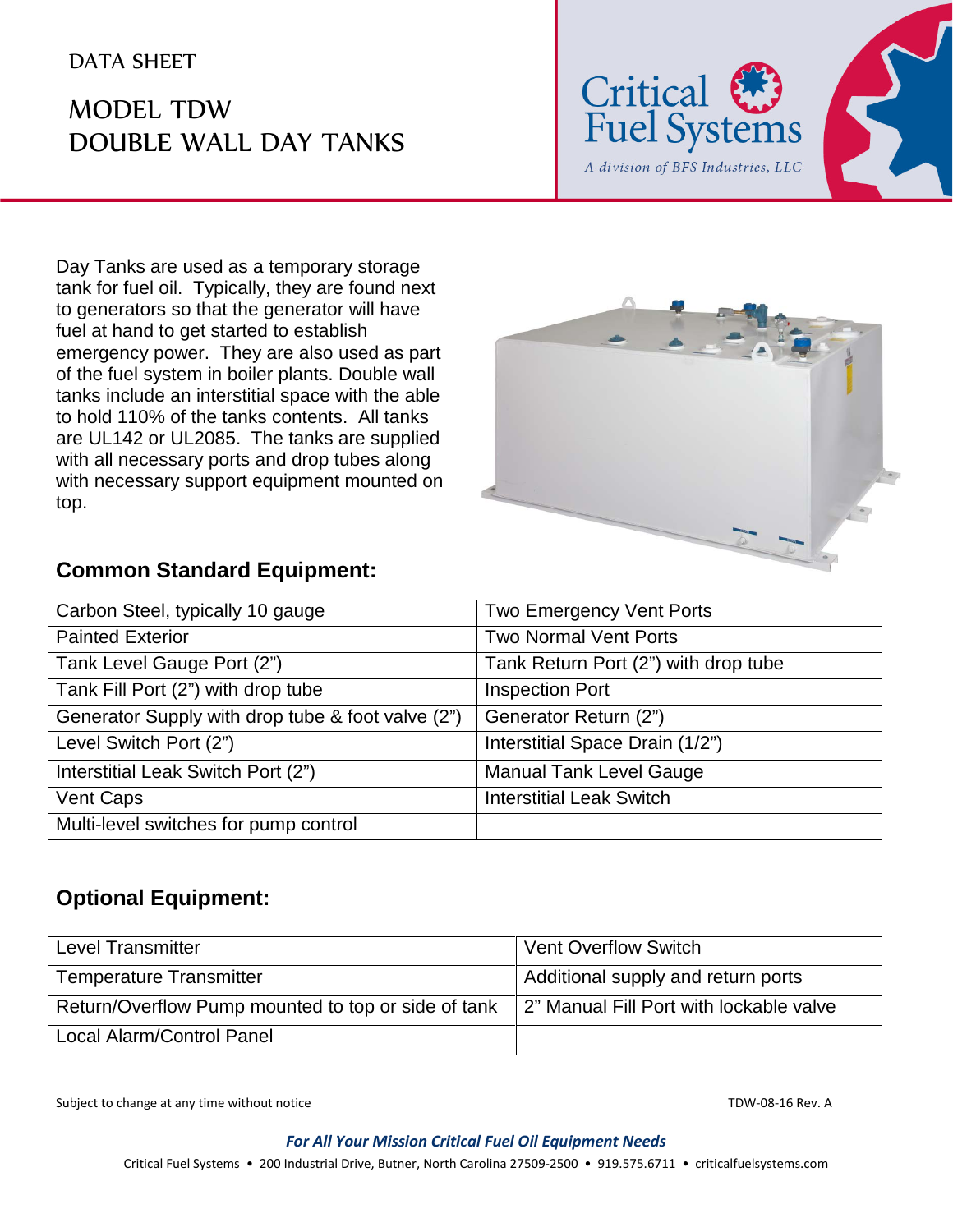## DATA SHEET

## MODEL TDW DOUBLE WALL DAY TANKS



Day Tanks are used as a temporary storage tank for fuel oil. Typically, they are found next to generators so that the generator will have fuel at hand to get started to establish emergency power. They are also used as part of the fuel system in boiler plants. Double wall tanks include an interstitial space with the able to hold 110% of the tanks contents. All tanks are UL142 or UL2085. The tanks are supplied with all necessary ports and drop tubes along with necessary support equipment mounted on top.



## **Common Standard Equipment:**

| Carbon Steel, typically 10 gauge                  | <b>Two Emergency Vent Ports</b>      |
|---------------------------------------------------|--------------------------------------|
| <b>Painted Exterior</b>                           | <b>Two Normal Vent Ports</b>         |
| Tank Level Gauge Port (2")                        | Tank Return Port (2") with drop tube |
| Tank Fill Port (2") with drop tube                | <b>Inspection Port</b>               |
| Generator Supply with drop tube & foot valve (2") | Generator Return (2")                |
| Level Switch Port (2")                            | Interstitial Space Drain (1/2")      |
| Interstitial Leak Switch Port (2")                | <b>Manual Tank Level Gauge</b>       |
| <b>Vent Caps</b>                                  | <b>Interstitial Leak Switch</b>      |
| Multi-level switches for pump control             |                                      |

## **Optional Equipment:**

| <b>Level Transmitter</b>                            | <b>Vent Overflow Switch</b>             |
|-----------------------------------------------------|-----------------------------------------|
| <b>Temperature Transmitter</b>                      | Additional supply and return ports      |
| Return/Overflow Pump mounted to top or side of tank | 2" Manual Fill Port with lockable valve |
| <b>Local Alarm/Control Panel</b>                    |                                         |

Subject to change at any time without notice TDW-08-16 Rev. A